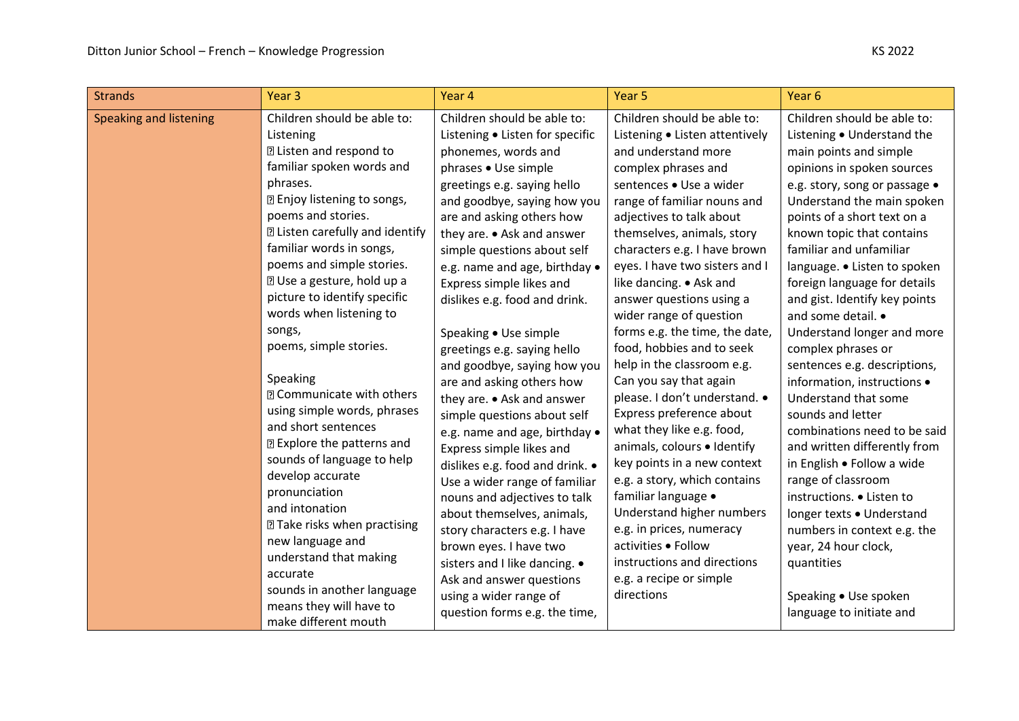| <b>Strands</b>         | Year <sub>3</sub>                                                                                                                                                                                                                                                                                                                                                                                                                                                                                                                                                                                                                                                                                                                                                                                                                        | Year 4                                                                                                                                                                                                                                                                                                                                                                                                                                                                                                                                                                                                                                                                                                                                                                                                                                                                                                                                | Year <sub>5</sub>                                                                                                                                                                                                                                                                                                                                                                                                                                                                                                                                                                                                                                                                                                                                                                                                                                                                 | Year <sub>6</sub>                                                                                                                                                                                                                                                                                                                                                                                                                                                                                                                                                                                                                                                                                                                                                                                                                                                      |
|------------------------|------------------------------------------------------------------------------------------------------------------------------------------------------------------------------------------------------------------------------------------------------------------------------------------------------------------------------------------------------------------------------------------------------------------------------------------------------------------------------------------------------------------------------------------------------------------------------------------------------------------------------------------------------------------------------------------------------------------------------------------------------------------------------------------------------------------------------------------|---------------------------------------------------------------------------------------------------------------------------------------------------------------------------------------------------------------------------------------------------------------------------------------------------------------------------------------------------------------------------------------------------------------------------------------------------------------------------------------------------------------------------------------------------------------------------------------------------------------------------------------------------------------------------------------------------------------------------------------------------------------------------------------------------------------------------------------------------------------------------------------------------------------------------------------|-----------------------------------------------------------------------------------------------------------------------------------------------------------------------------------------------------------------------------------------------------------------------------------------------------------------------------------------------------------------------------------------------------------------------------------------------------------------------------------------------------------------------------------------------------------------------------------------------------------------------------------------------------------------------------------------------------------------------------------------------------------------------------------------------------------------------------------------------------------------------------------|------------------------------------------------------------------------------------------------------------------------------------------------------------------------------------------------------------------------------------------------------------------------------------------------------------------------------------------------------------------------------------------------------------------------------------------------------------------------------------------------------------------------------------------------------------------------------------------------------------------------------------------------------------------------------------------------------------------------------------------------------------------------------------------------------------------------------------------------------------------------|
| Speaking and listening | Children should be able to:<br>Listening<br><b>2 Listen and respond to</b><br>familiar spoken words and<br>phrases.<br><b>2 Enjoy listening to songs,</b><br>poems and stories.<br><b>2 Listen carefully and identify</b><br>familiar words in songs,<br>poems and simple stories.<br><b>2 Use a gesture, hold up a</b><br>picture to identify specific<br>words when listening to<br>songs,<br>poems, simple stories.<br>Speaking<br><b>D</b> Communicate with others<br>using simple words, phrases<br>and short sentences<br><b>2 Explore the patterns and</b><br>sounds of language to help<br>develop accurate<br>pronunciation<br>and intonation<br><b>2 Take risks when practising</b><br>new language and<br>understand that making<br>accurate<br>sounds in another language<br>means they will have to<br>make different mouth | Children should be able to:<br>Listening • Listen for specific<br>phonemes, words and<br>phrases • Use simple<br>greetings e.g. saying hello<br>and goodbye, saying how you<br>are and asking others how<br>they are. • Ask and answer<br>simple questions about self<br>e.g. name and age, birthday .<br>Express simple likes and<br>dislikes e.g. food and drink.<br>Speaking • Use simple<br>greetings e.g. saying hello<br>and goodbye, saying how you<br>are and asking others how<br>they are. • Ask and answer<br>simple questions about self<br>e.g. name and age, birthday .<br>Express simple likes and<br>dislikes e.g. food and drink. •<br>Use a wider range of familiar<br>nouns and adjectives to talk<br>about themselves, animals,<br>story characters e.g. I have<br>brown eyes. I have two<br>sisters and I like dancing. •<br>Ask and answer questions<br>using a wider range of<br>question forms e.g. the time, | Children should be able to:<br>Listening • Listen attentively<br>and understand more<br>complex phrases and<br>sentences . Use a wider<br>range of familiar nouns and<br>adjectives to talk about<br>themselves, animals, story<br>characters e.g. I have brown<br>eyes. I have two sisters and I<br>like dancing. • Ask and<br>answer questions using a<br>wider range of question<br>forms e.g. the time, the date,<br>food, hobbies and to seek<br>help in the classroom e.g.<br>Can you say that again<br>please. I don't understand. •<br>Express preference about<br>what they like e.g. food,<br>animals, colours . Identify<br>key points in a new context<br>e.g. a story, which contains<br>familiar language •<br>Understand higher numbers<br>e.g. in prices, numeracy<br>activities . Follow<br>instructions and directions<br>e.g. a recipe or simple<br>directions | Children should be able to:<br>Listening . Understand the<br>main points and simple<br>opinions in spoken sources<br>e.g. story, song or passage .<br>Understand the main spoken<br>points of a short text on a<br>known topic that contains<br>familiar and unfamiliar<br>language. • Listen to spoken<br>foreign language for details<br>and gist. Identify key points<br>and some detail. •<br>Understand longer and more<br>complex phrases or<br>sentences e.g. descriptions,<br>information, instructions •<br>Understand that some<br>sounds and letter<br>combinations need to be said<br>and written differently from<br>in English . Follow a wide<br>range of classroom<br>instructions. • Listen to<br>longer texts . Understand<br>numbers in context e.g. the<br>year, 24 hour clock,<br>quantities<br>Speaking • Use spoken<br>language to initiate and |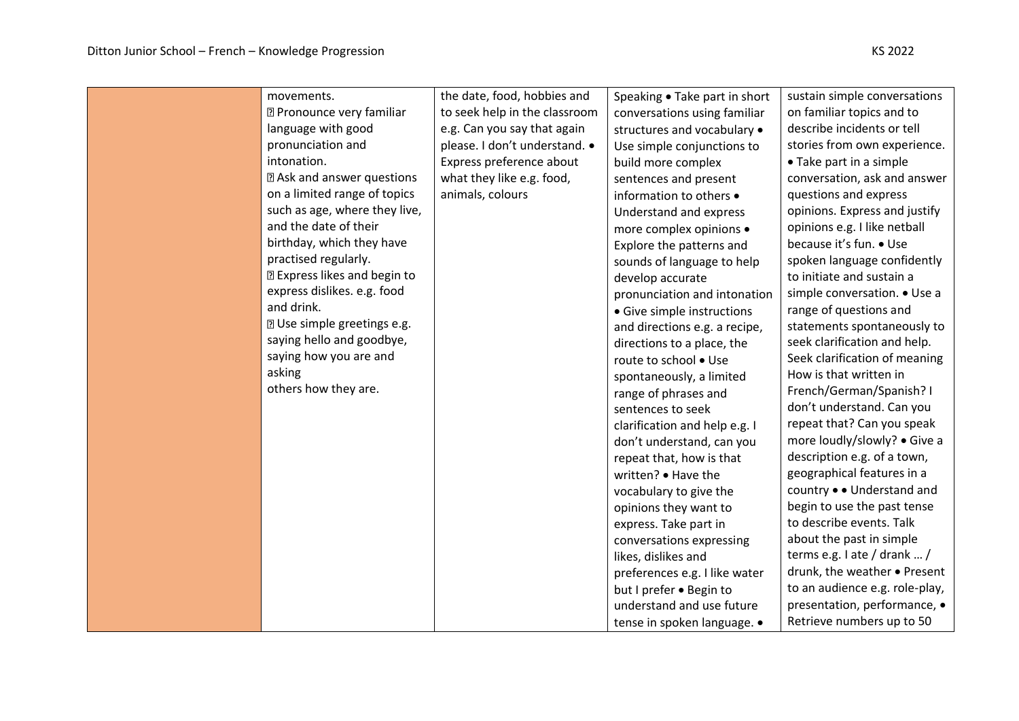| movements.                          | the date, food, hobbies and   | Speaking • Take part in short | sustain simple conversations   |
|-------------------------------------|-------------------------------|-------------------------------|--------------------------------|
| <b>D</b> Pronounce very familiar    | to seek help in the classroom | conversations using familiar  | on familiar topics and to      |
| language with good                  | e.g. Can you say that again   | structures and vocabulary •   | describe incidents or tell     |
| pronunciation and                   | please. I don't understand. • | Use simple conjunctions to    | stories from own experience.   |
| intonation.                         | Express preference about      | build more complex            | • Take part in a simple        |
| <b>2 Ask and answer questions</b>   | what they like e.g. food,     | sentences and present         | conversation, ask and answer   |
| on a limited range of topics        | animals, colours              | information to others •       | questions and express          |
| such as age, where they live,       |                               | Understand and express        | opinions. Express and justify  |
| and the date of their               |                               | more complex opinions •       | opinions e.g. I like netball   |
| birthday, which they have           |                               | Explore the patterns and      | because it's fun. • Use        |
| practised regularly.                |                               | sounds of language to help    | spoken language confidently    |
| <b>2 Express likes and begin to</b> |                               | develop accurate              | to initiate and sustain a      |
| express dislikes. e.g. food         |                               | pronunciation and intonation  | simple conversation. • Use a   |
| and drink.                          |                               | • Give simple instructions    | range of questions and         |
| <b>2</b> Use simple greetings e.g.  |                               | and directions e.g. a recipe, | statements spontaneously to    |
| saying hello and goodbye,           |                               | directions to a place, the    | seek clarification and help.   |
| saying how you are and              |                               | route to school . Use         | Seek clarification of meaning  |
| asking                              |                               | spontaneously, a limited      | How is that written in         |
| others how they are.                |                               | range of phrases and          | French/German/Spanish? I       |
|                                     |                               | sentences to seek             | don't understand. Can you      |
|                                     |                               | clarification and help e.g. I | repeat that? Can you speak     |
|                                     |                               | don't understand, can you     | more loudly/slowly? • Give a   |
|                                     |                               | repeat that, how is that      | description e.g. of a town,    |
|                                     |                               | written? • Have the           | geographical features in a     |
|                                     |                               | vocabulary to give the        | country • • Understand and     |
|                                     |                               | opinions they want to         | begin to use the past tense    |
|                                     |                               | express. Take part in         | to describe events. Talk       |
|                                     |                               | conversations expressing      | about the past in simple       |
|                                     |                               | likes, dislikes and           | terms e.g. $1$ ate / drank  /  |
|                                     |                               | preferences e.g. I like water | drunk, the weather . Present   |
|                                     |                               | but I prefer . Begin to       | to an audience e.g. role-play, |
|                                     |                               | understand and use future     | presentation, performance, •   |
|                                     |                               | tense in spoken language. •   | Retrieve numbers up to 50      |
|                                     |                               |                               |                                |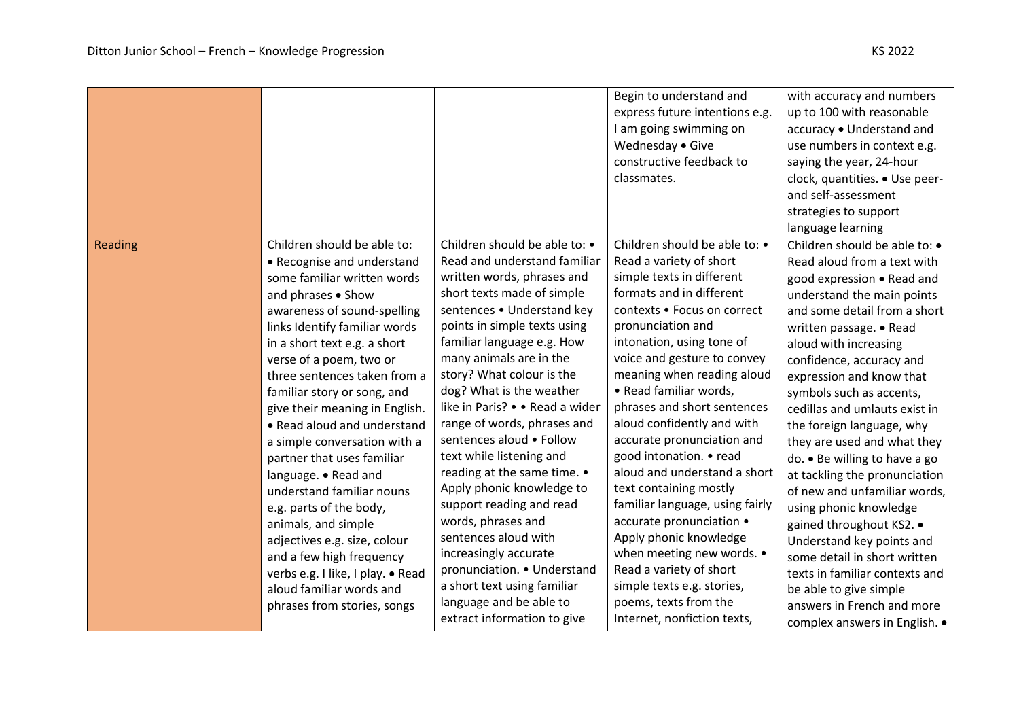|         |                                                                                                                                                                                                                                                                                                                                                                                                                                                                                                                                                                                                                                                                                                            |                                                                                                                                                                                                                                                                                                                                                                                                                                                                                                                                                                                                                                                                                             | Begin to understand and<br>express future intentions e.g.<br>I am going swimming on<br>Wednesday . Give<br>constructive feedback to<br>classmates.                                                                                                                                                                                                                                                                                                                                                                                                                                                                                                                                | with accuracy and numbers<br>up to 100 with reasonable<br>accuracy . Understand and<br>use numbers in context e.g.<br>saying the year, 24-hour<br>clock, quantities. • Use peer-<br>and self-assessment<br>strategies to support<br>language learning                                                                                                                                                                                                                                                                                                                                                                                                                                                        |
|---------|------------------------------------------------------------------------------------------------------------------------------------------------------------------------------------------------------------------------------------------------------------------------------------------------------------------------------------------------------------------------------------------------------------------------------------------------------------------------------------------------------------------------------------------------------------------------------------------------------------------------------------------------------------------------------------------------------------|---------------------------------------------------------------------------------------------------------------------------------------------------------------------------------------------------------------------------------------------------------------------------------------------------------------------------------------------------------------------------------------------------------------------------------------------------------------------------------------------------------------------------------------------------------------------------------------------------------------------------------------------------------------------------------------------|-----------------------------------------------------------------------------------------------------------------------------------------------------------------------------------------------------------------------------------------------------------------------------------------------------------------------------------------------------------------------------------------------------------------------------------------------------------------------------------------------------------------------------------------------------------------------------------------------------------------------------------------------------------------------------------|--------------------------------------------------------------------------------------------------------------------------------------------------------------------------------------------------------------------------------------------------------------------------------------------------------------------------------------------------------------------------------------------------------------------------------------------------------------------------------------------------------------------------------------------------------------------------------------------------------------------------------------------------------------------------------------------------------------|
| Reading | Children should be able to:<br>• Recognise and understand<br>some familiar written words<br>and phrases . Show<br>awareness of sound-spelling<br>links Identify familiar words<br>in a short text e.g. a short<br>verse of a poem, two or<br>three sentences taken from a<br>familiar story or song, and<br>give their meaning in English.<br>• Read aloud and understand<br>a simple conversation with a<br>partner that uses familiar<br>language. • Read and<br>understand familiar nouns<br>e.g. parts of the body,<br>animals, and simple<br>adjectives e.g. size, colour<br>and a few high frequency<br>verbs e.g. I like, I play. • Read<br>aloud familiar words and<br>phrases from stories, songs | Children should be able to: •<br>Read and understand familiar<br>written words, phrases and<br>short texts made of simple<br>sentences . Understand key<br>points in simple texts using<br>familiar language e.g. How<br>many animals are in the<br>story? What colour is the<br>dog? What is the weather<br>like in Paris? • • Read a wider<br>range of words, phrases and<br>sentences aloud . Follow<br>text while listening and<br>reading at the same time. •<br>Apply phonic knowledge to<br>support reading and read<br>words, phrases and<br>sentences aloud with<br>increasingly accurate<br>pronunciation. • Understand<br>a short text using familiar<br>language and be able to | Children should be able to: •<br>Read a variety of short<br>simple texts in different<br>formats and in different<br>contexts . Focus on correct<br>pronunciation and<br>intonation, using tone of<br>voice and gesture to convey<br>meaning when reading aloud<br>• Read familiar words,<br>phrases and short sentences<br>aloud confidently and with<br>accurate pronunciation and<br>good intonation. • read<br>aloud and understand a short<br>text containing mostly<br>familiar language, using fairly<br>accurate pronunciation •<br>Apply phonic knowledge<br>when meeting new words. •<br>Read a variety of short<br>simple texts e.g. stories,<br>poems, texts from the | Children should be able to: •<br>Read aloud from a text with<br>good expression . Read and<br>understand the main points<br>and some detail from a short<br>written passage. • Read<br>aloud with increasing<br>confidence, accuracy and<br>expression and know that<br>symbols such as accents,<br>cedillas and umlauts exist in<br>the foreign language, why<br>they are used and what they<br>do. • Be willing to have a go<br>at tackling the pronunciation<br>of new and unfamiliar words,<br>using phonic knowledge<br>gained throughout KS2. .<br>Understand key points and<br>some detail in short written<br>texts in familiar contexts and<br>be able to give simple<br>answers in French and more |
|         |                                                                                                                                                                                                                                                                                                                                                                                                                                                                                                                                                                                                                                                                                                            | extract information to give                                                                                                                                                                                                                                                                                                                                                                                                                                                                                                                                                                                                                                                                 | Internet, nonfiction texts,                                                                                                                                                                                                                                                                                                                                                                                                                                                                                                                                                                                                                                                       | complex answers in English. .                                                                                                                                                                                                                                                                                                                                                                                                                                                                                                                                                                                                                                                                                |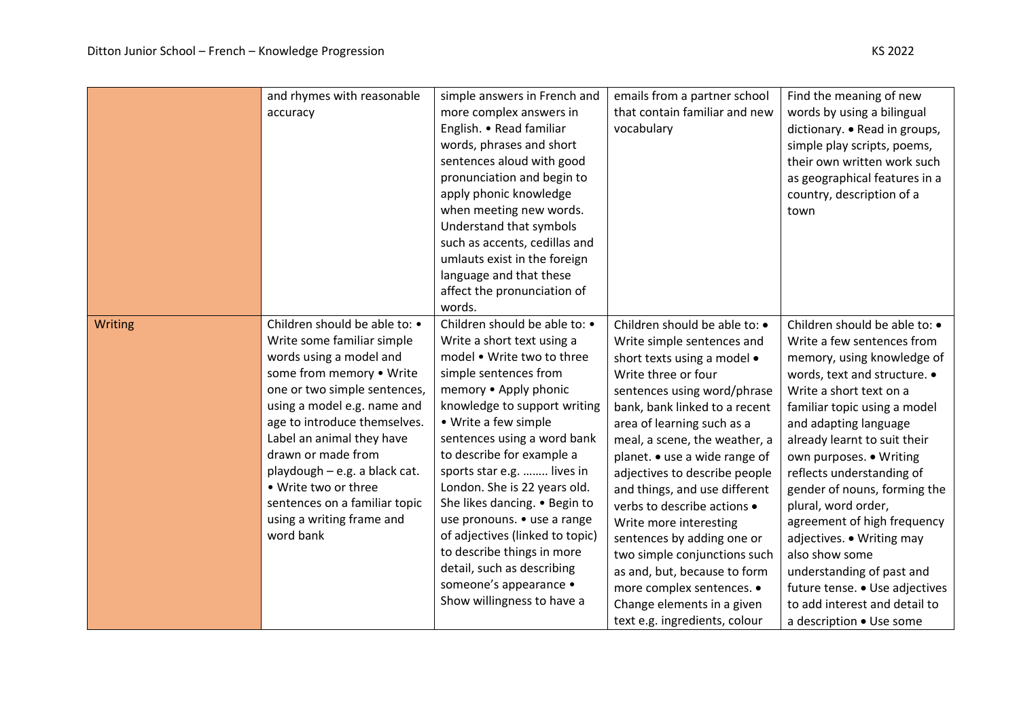| ner school $\mid$ Find the meaning of new |
|-------------------------------------------|
| ar and new $ $ words by using a bilingua  |
| dictionary. • Read in grou                |
| $\vert$ simple play scripts, poem         |

|         | and rhymes with reasonable<br>accuracy                                                                                                                                                                                                                                                                                                                                                                   | simple answers in French and<br>more complex answers in<br>English. • Read familiar<br>words, phrases and short<br>sentences aloud with good<br>pronunciation and begin to<br>apply phonic knowledge<br>when meeting new words.<br>Understand that symbols<br>such as accents, cedillas and<br>umlauts exist in the foreign<br>language and that these<br>affect the pronunciation of<br>words.                                                                                                                                                      | emails from a partner school<br>that contain familiar and new<br>vocabulary                                                                                                                                                                                                                                                                                                                                                                                                                                                                                                                            | Find the meaning of new<br>words by using a bilingual<br>dictionary. • Read in groups,<br>simple play scripts, poems,<br>their own written work such<br>as geographical features in a<br>country, description of a<br>town                                                                                                                                                                                                                                                                                                                                             |
|---------|----------------------------------------------------------------------------------------------------------------------------------------------------------------------------------------------------------------------------------------------------------------------------------------------------------------------------------------------------------------------------------------------------------|------------------------------------------------------------------------------------------------------------------------------------------------------------------------------------------------------------------------------------------------------------------------------------------------------------------------------------------------------------------------------------------------------------------------------------------------------------------------------------------------------------------------------------------------------|--------------------------------------------------------------------------------------------------------------------------------------------------------------------------------------------------------------------------------------------------------------------------------------------------------------------------------------------------------------------------------------------------------------------------------------------------------------------------------------------------------------------------------------------------------------------------------------------------------|------------------------------------------------------------------------------------------------------------------------------------------------------------------------------------------------------------------------------------------------------------------------------------------------------------------------------------------------------------------------------------------------------------------------------------------------------------------------------------------------------------------------------------------------------------------------|
| Writing | Children should be able to: •<br>Write some familiar simple<br>words using a model and<br>some from memory . Write<br>one or two simple sentences,<br>using a model e.g. name and<br>age to introduce themselves.<br>Label an animal they have<br>drawn or made from<br>playdough - e.g. a black cat.<br>• Write two or three<br>sentences on a familiar topic<br>using a writing frame and<br>word bank | Children should be able to: •<br>Write a short text using a<br>model . Write two to three<br>simple sentences from<br>memory . Apply phonic<br>knowledge to support writing<br>• Write a few simple<br>sentences using a word bank<br>to describe for example a<br>sports star e.g.  lives in<br>London. She is 22 years old.<br>She likes dancing. . Begin to<br>use pronouns. • use a range<br>of adjectives (linked to topic)<br>to describe things in more<br>detail, such as describing<br>someone's appearance •<br>Show willingness to have a | Children should be able to: •<br>Write simple sentences and<br>short texts using a model •<br>Write three or four<br>sentences using word/phrase<br>bank, bank linked to a recent<br>area of learning such as a<br>meal, a scene, the weather, a<br>planet. • use a wide range of<br>adjectives to describe people<br>and things, and use different<br>verbs to describe actions •<br>Write more interesting<br>sentences by adding one or<br>two simple conjunctions such<br>as and, but, because to form<br>more complex sentences. •<br>Change elements in a given<br>text e.g. ingredients, colour | Children should be able to: •<br>Write a few sentences from<br>memory, using knowledge of<br>words, text and structure. •<br>Write a short text on a<br>familiar topic using a model<br>and adapting language<br>already learnt to suit their<br>own purposes. . Writing<br>reflects understanding of<br>gender of nouns, forming the<br>plural, word order,<br>agreement of high frequency<br>adjectives. • Writing may<br>also show some<br>understanding of past and<br>future tense. • Use adjectives<br>to add interest and detail to<br>a description . Use some |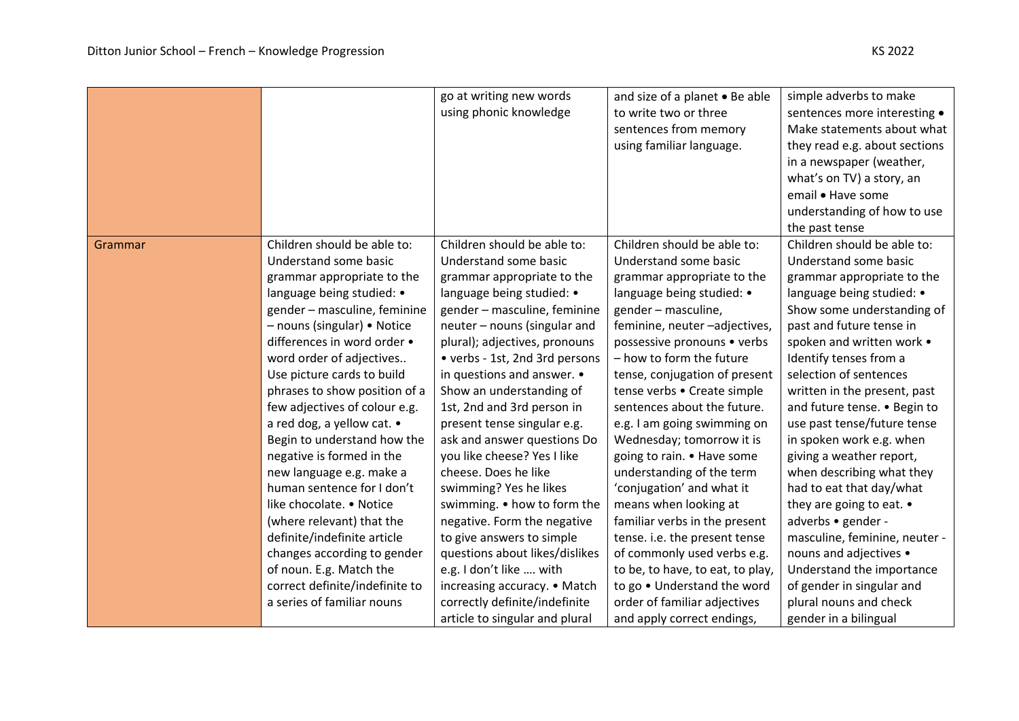|         |                                                                                                                                                                                                                                                                                                                                                                                                                                                                                                                                                                                                                                                                                                                 | go at writing new words<br>using phonic knowledge                                                                                                                                                                                                                                                                                                                                                                                                                                                                                                                                                                                                                                                                                                    | and size of a planet . Be able<br>to write two or three<br>sentences from memory<br>using familiar language.                                                                                                                                                                                                                                                                                                                                                                                                                                                                                                                                                                                                                                    | simple adverbs to make<br>sentences more interesting •<br>Make statements about what<br>they read e.g. about sections<br>in a newspaper (weather,<br>what's on TV) a story, an<br>email . Have some<br>understanding of how to use<br>the past tense                                                                                                                                                                                                                                                                                                                                                                                                                                                 |
|---------|-----------------------------------------------------------------------------------------------------------------------------------------------------------------------------------------------------------------------------------------------------------------------------------------------------------------------------------------------------------------------------------------------------------------------------------------------------------------------------------------------------------------------------------------------------------------------------------------------------------------------------------------------------------------------------------------------------------------|------------------------------------------------------------------------------------------------------------------------------------------------------------------------------------------------------------------------------------------------------------------------------------------------------------------------------------------------------------------------------------------------------------------------------------------------------------------------------------------------------------------------------------------------------------------------------------------------------------------------------------------------------------------------------------------------------------------------------------------------------|-------------------------------------------------------------------------------------------------------------------------------------------------------------------------------------------------------------------------------------------------------------------------------------------------------------------------------------------------------------------------------------------------------------------------------------------------------------------------------------------------------------------------------------------------------------------------------------------------------------------------------------------------------------------------------------------------------------------------------------------------|------------------------------------------------------------------------------------------------------------------------------------------------------------------------------------------------------------------------------------------------------------------------------------------------------------------------------------------------------------------------------------------------------------------------------------------------------------------------------------------------------------------------------------------------------------------------------------------------------------------------------------------------------------------------------------------------------|
| Grammar | Children should be able to:<br>Understand some basic<br>grammar appropriate to the<br>language being studied: •<br>gender - masculine, feminine<br>- nouns (singular) • Notice<br>differences in word order •<br>word order of adjectives<br>Use picture cards to build<br>phrases to show position of a<br>few adjectives of colour e.g.<br>a red dog, a yellow cat. •<br>Begin to understand how the<br>negative is formed in the<br>new language e.g. make a<br>human sentence for I don't<br>like chocolate. • Notice<br>(where relevant) that the<br>definite/indefinite article<br>changes according to gender<br>of noun. E.g. Match the<br>correct definite/indefinite to<br>a series of familiar nouns | Children should be able to:<br>Understand some basic<br>grammar appropriate to the<br>language being studied: •<br>gender - masculine, feminine<br>neuter – nouns (singular and<br>plural); adjectives, pronouns<br>• verbs - 1st, 2nd 3rd persons<br>in questions and answer. •<br>Show an understanding of<br>1st, 2nd and 3rd person in<br>present tense singular e.g.<br>ask and answer questions Do<br>you like cheese? Yes I like<br>cheese. Does he like<br>swimming? Yes he likes<br>swimming. . how to form the<br>negative. Form the negative<br>to give answers to simple<br>questions about likes/dislikes<br>e.g. I don't like  with<br>increasing accuracy. • Match<br>correctly definite/indefinite<br>article to singular and plural | Children should be able to:<br>Understand some basic<br>grammar appropriate to the<br>language being studied: •<br>gender - masculine,<br>feminine, neuter-adjectives,<br>possessive pronouns • verbs<br>- how to form the future<br>tense, conjugation of present<br>tense verbs • Create simple<br>sentences about the future.<br>e.g. I am going swimming on<br>Wednesday; tomorrow it is<br>going to rain. • Have some<br>understanding of the term<br>'conjugation' and what it<br>means when looking at<br>familiar verbs in the present<br>tense. i.e. the present tense<br>of commonly used verbs e.g.<br>to be, to have, to eat, to play,<br>to go . Understand the word<br>order of familiar adjectives<br>and apply correct endings, | Children should be able to:<br>Understand some basic<br>grammar appropriate to the<br>language being studied: •<br>Show some understanding of<br>past and future tense in<br>spoken and written work .<br>Identify tenses from a<br>selection of sentences<br>written in the present, past<br>and future tense. . Begin to<br>use past tense/future tense<br>in spoken work e.g. when<br>giving a weather report,<br>when describing what they<br>had to eat that day/what<br>they are going to eat. •<br>adverbs • gender -<br>masculine, feminine, neuter -<br>nouns and adjectives •<br>Understand the importance<br>of gender in singular and<br>plural nouns and check<br>gender in a bilingual |